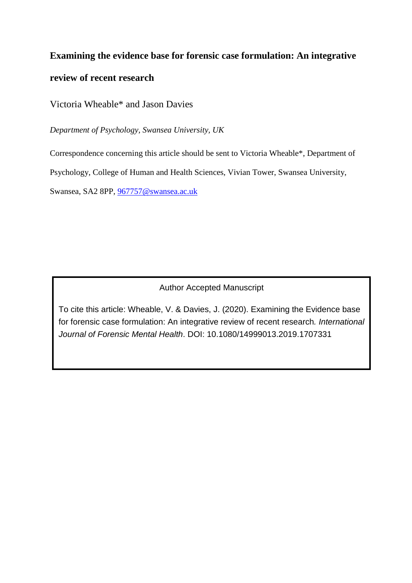# **Examining the evidence base for forensic case formulation: An integrative**

## **review of recent research**

Victoria Wheable\* and Jason Davies

*Department of Psychology, Swansea University, UK*

Correspondence concerning this article should be sent to Victoria Wheable\*, Department of

Psychology, College of Human and Health Sciences, Vivian Tower, Swansea University,

Swansea, SA2 8PP, [967757@swansea.ac.uk](mailto:967757@swansea.ac.uk)

# Author Accepted Manuscript

To cite this article: Wheable, V. & Davies, J. (2020). Examining the Evidence base for forensic case formulation: An integrative review of recent research*. International Journal of Forensic Mental Health*. DOI: 10.1080/14999013.2019.1707331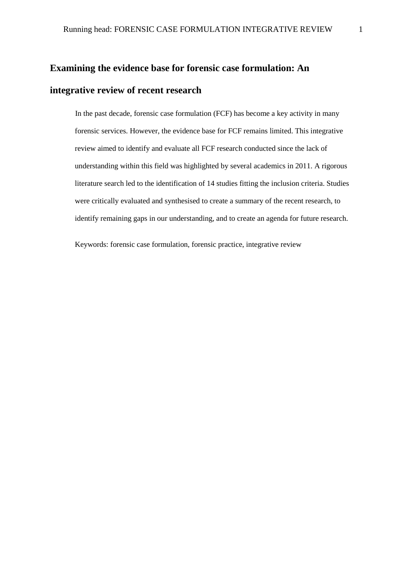# **Examining the evidence base for forensic case formulation: An integrative review of recent research**

In the past decade, forensic case formulation (FCF) has become a key activity in many forensic services. However, the evidence base for FCF remains limited. This integrative review aimed to identify and evaluate all FCF research conducted since the lack of understanding within this field was highlighted by several academics in 2011. A rigorous literature search led to the identification of 14 studies fitting the inclusion criteria. Studies were critically evaluated and synthesised to create a summary of the recent research, to identify remaining gaps in our understanding, and to create an agenda for future research.

Keywords: forensic case formulation, forensic practice, integrative review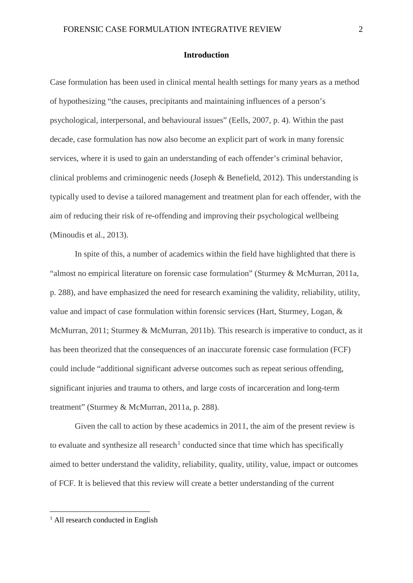#### **Introduction**

Case formulation has been used in clinical mental health settings for many years as a method of hypothesizing "the causes, precipitants and maintaining influences of a person's psychological, interpersonal, and behavioural issues" (Eells, 2007, p. 4). Within the past decade, case formulation has now also become an explicit part of work in many forensic services, where it is used to gain an understanding of each offender's criminal behavior, clinical problems and criminogenic needs (Joseph & Benefield, 2012). This understanding is typically used to devise a tailored management and treatment plan for each offender, with the aim of reducing their risk of re-offending and improving their psychological wellbeing (Minoudis et al., 2013).

In spite of this, a number of academics within the field have highlighted that there is "almost no empirical literature on forensic case formulation" (Sturmey & McMurran, 2011a, p. 288), and have emphasized the need for research examining the validity, reliability, utility, value and impact of case formulation within forensic services (Hart, Sturmey, Logan, & McMurran, 2011; Sturmey & McMurran, 2011b). This research is imperative to conduct, as it has been theorized that the consequences of an inaccurate forensic case formulation (FCF) could include "additional significant adverse outcomes such as repeat serious offending, significant injuries and trauma to others, and large costs of incarceration and long-term treatment" (Sturmey & McMurran, 2011a, p. 288).

Given the call to action by these academics in 2011, the aim of the present review is to evaluate and synthesize all research<sup>[1](#page-2-0)</sup> conducted since that time which has specifically aimed to better understand the validity, reliability, quality, utility, value, impact or outcomes of FCF. It is believed that this review will create a better understanding of the current

<span id="page-2-0"></span><sup>&</sup>lt;sup>1</sup> All research conducted in English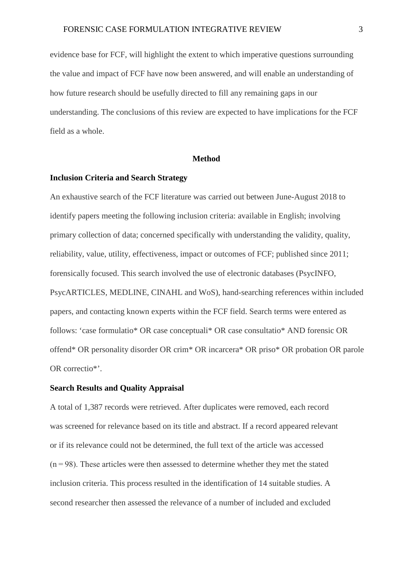evidence base for FCF, will highlight the extent to which imperative questions surrounding the value and impact of FCF have now been answered, and will enable an understanding of how future research should be usefully directed to fill any remaining gaps in our understanding. The conclusions of this review are expected to have implications for the FCF field as a whole.

#### **Method**

## **Inclusion Criteria and Search Strategy**

An exhaustive search of the FCF literature was carried out between June-August 2018 to identify papers meeting the following inclusion criteria: available in English; involving primary collection of data; concerned specifically with understanding the validity, quality, reliability, value, utility, effectiveness, impact or outcomes of FCF; published since 2011; forensically focused. This search involved the use of electronic databases (PsycINFO, PsycARTICLES, MEDLINE, CINAHL and WoS), hand-searching references within included papers, and contacting known experts within the FCF field. Search terms were entered as follows: 'case formulatio\* OR case conceptuali\* OR case consultatio\* AND forensic OR offend\* OR personality disorder OR crim\* OR incarcera\* OR priso\* OR probation OR parole OR correctio<sup>\*</sup>'.

#### **Search Results and Quality Appraisal**

A total of 1,387 records were retrieved. After duplicates were removed, each record was screened for relevance based on its title and abstract. If a record appeared relevant or if its relevance could not be determined, the full text of the article was accessed  $(n=98)$ . These articles were then assessed to determine whether they met the stated inclusion criteria. This process resulted in the identification of 14 suitable studies. A second researcher then assessed the relevance of a number of included and excluded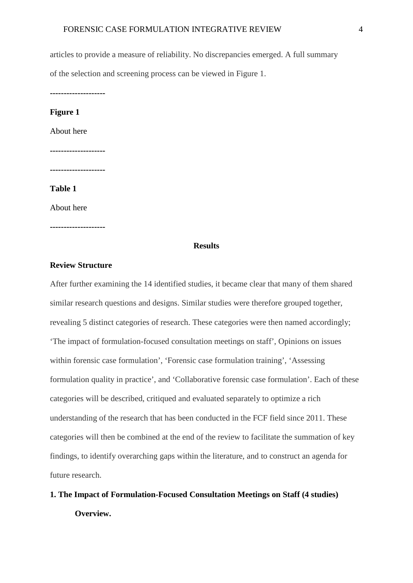articles to provide a measure of reliability. No discrepancies emerged. A full summary of the selection and screening process can be viewed in Figure 1.

**--------------------**

## **Figure 1**

About here

**--------------------**

**--------------------**

**Table 1**

About here

**--------------------**

## **Results**

### **Review Structure**

After further examining the 14 identified studies, it became clear that many of them shared similar research questions and designs. Similar studies were therefore grouped together, revealing 5 distinct categories of research. These categories were then named accordingly; 'The impact of formulation-focused consultation meetings on staff', Opinions on issues within forensic case formulation', 'Forensic case formulation training', 'Assessing formulation quality in practice', and 'Collaborative forensic case formulation'. Each of these categories will be described, critiqued and evaluated separately to optimize a rich understanding of the research that has been conducted in the FCF field since 2011. These categories will then be combined at the end of the review to facilitate the summation of key findings, to identify overarching gaps within the literature, and to construct an agenda for future research.

# **1. The Impact of Formulation-Focused Consultation Meetings on Staff (4 studies) Overview.**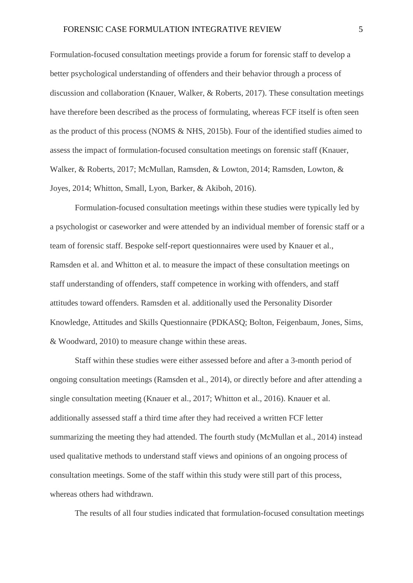Formulation-focused consultation meetings provide a forum for forensic staff to develop a better psychological understanding of offenders and their behavior through a process of discussion and collaboration (Knauer, Walker, & Roberts, 2017). These consultation meetings have therefore been described as the process of formulating, whereas FCF itself is often seen as the product of this process (NOMS & NHS, 2015b). Four of the identified studies aimed to assess the impact of formulation-focused consultation meetings on forensic staff (Knauer, Walker, & Roberts, 2017; McMullan, Ramsden, & Lowton, 2014; Ramsden, Lowton, & Joyes, 2014; Whitton, Small, Lyon, Barker, & Akiboh, 2016).

Formulation-focused consultation meetings within these studies were typically led by a psychologist or caseworker and were attended by an individual member of forensic staff or a team of forensic staff. Bespoke self-report questionnaires were used by Knauer et al., Ramsden et al. and Whitton et al. to measure the impact of these consultation meetings on staff understanding of offenders, staff competence in working with offenders, and staff attitudes toward offenders. Ramsden et al. additionally used the Personality Disorder Knowledge, Attitudes and Skills Questionnaire (PDKASQ; Bolton, Feigenbaum, Jones, Sims, & Woodward, 2010) to measure change within these areas.

Staff within these studies were either assessed before and after a 3-month period of ongoing consultation meetings (Ramsden et al., 2014), or directly before and after attending a single consultation meeting (Knauer et al., 2017; Whitton et al., 2016). Knauer et al. additionally assessed staff a third time after they had received a written FCF letter summarizing the meeting they had attended. The fourth study (McMullan et al., 2014) instead used qualitative methods to understand staff views and opinions of an ongoing process of consultation meetings. Some of the staff within this study were still part of this process, whereas others had withdrawn.

The results of all four studies indicated that formulation-focused consultation meetings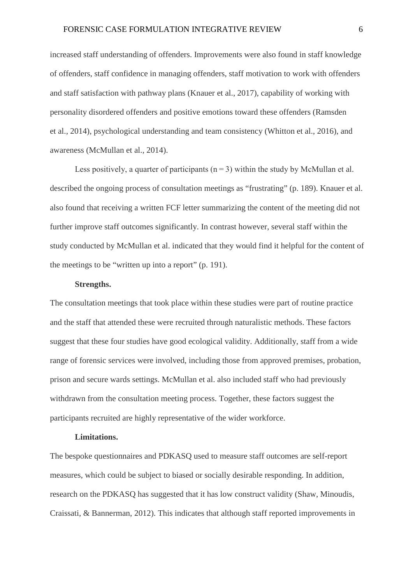increased staff understanding of offenders. Improvements were also found in staff knowledge of offenders, staff confidence in managing offenders, staff motivation to work with offenders and staff satisfaction with pathway plans (Knauer et al., 2017), capability of working with personality disordered offenders and positive emotions toward these offenders (Ramsden et al., 2014), psychological understanding and team consistency (Whitton et al., 2016), and awareness (McMullan et al., 2014).

Less positively, a quarter of participants  $(n=3)$  within the study by McMullan et al. described the ongoing process of consultation meetings as "frustrating" (p. 189). Knauer et al. also found that receiving a written FCF letter summarizing the content of the meeting did not further improve staff outcomes significantly. In contrast however, several staff within the study conducted by McMullan et al. indicated that they would find it helpful for the content of the meetings to be "written up into a report" (p. 191).

## **Strengths.**

The consultation meetings that took place within these studies were part of routine practice and the staff that attended these were recruited through naturalistic methods. These factors suggest that these four studies have good ecological validity. Additionally, staff from a wide range of forensic services were involved, including those from approved premises, probation, prison and secure wards settings. McMullan et al. also included staff who had previously withdrawn from the consultation meeting process. Together, these factors suggest the participants recruited are highly representative of the wider workforce.

## **Limitations.**

The bespoke questionnaires and PDKASQ used to measure staff outcomes are self-report measures, which could be subject to biased or socially desirable responding. In addition, research on the PDKASQ has suggested that it has low construct validity (Shaw, Minoudis, Craissati, & Bannerman, 2012). This indicates that although staff reported improvements in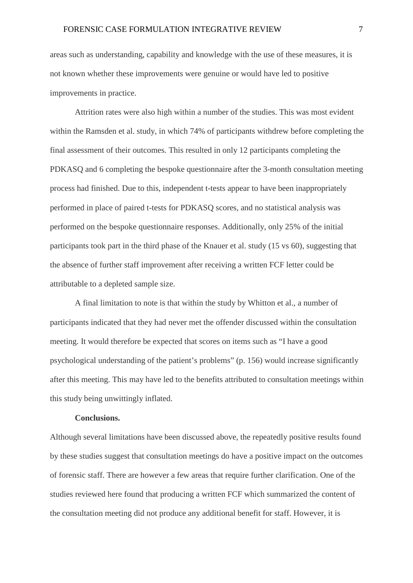areas such as understanding, capability and knowledge with the use of these measures, it is not known whether these improvements were genuine or would have led to positive improvements in practice.

Attrition rates were also high within a number of the studies. This was most evident within the Ramsden et al. study, in which 74% of participants withdrew before completing the final assessment of their outcomes. This resulted in only 12 participants completing the PDKASQ and 6 completing the bespoke questionnaire after the 3-month consultation meeting process had finished. Due to this, independent t-tests appear to have been inappropriately performed in place of paired t-tests for PDKASQ scores, and no statistical analysis was performed on the bespoke questionnaire responses. Additionally, only 25% of the initial participants took part in the third phase of the Knauer et al. study (15 vs 60), suggesting that the absence of further staff improvement after receiving a written FCF letter could be attributable to a depleted sample size.

A final limitation to note is that within the study by Whitton et al., a number of participants indicated that they had never met the offender discussed within the consultation meeting. It would therefore be expected that scores on items such as "I have a good psychological understanding of the patient's problems" (p. 156) would increase significantly after this meeting. This may have led to the benefits attributed to consultation meetings within this study being unwittingly inflated.

#### **Conclusions.**

Although several limitations have been discussed above, the repeatedly positive results found by these studies suggest that consultation meetings do have a positive impact on the outcomes of forensic staff. There are however a few areas that require further clarification. One of the studies reviewed here found that producing a written FCF which summarized the content of the consultation meeting did not produce any additional benefit for staff. However, it is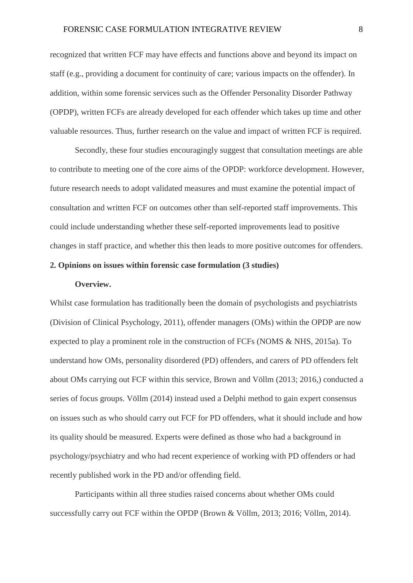recognized that written FCF may have effects and functions above and beyond its impact on staff (e.g., providing a document for continuity of care; various impacts on the offender). In addition, within some forensic services such as the Offender Personality Disorder Pathway (OPDP), written FCFs are already developed for each offender which takes up time and other valuable resources. Thus, further research on the value and impact of written FCF is required.

Secondly, these four studies encouragingly suggest that consultation meetings are able to contribute to meeting one of the core aims of the OPDP: workforce development. However, future research needs to adopt validated measures and must examine the potential impact of consultation and written FCF on outcomes other than self-reported staff improvements. This could include understanding whether these self-reported improvements lead to positive changes in staff practice, and whether this then leads to more positive outcomes for offenders.

## **2. Opinions on issues within forensic case formulation (3 studies)**

#### **Overview.**

Whilst case formulation has traditionally been the domain of psychologists and psychiatrists (Division of Clinical Psychology, 2011), offender managers (OMs) within the OPDP are now expected to play a prominent role in the construction of FCFs (NOMS & NHS, 2015a). To understand how OMs, personality disordered (PD) offenders, and carers of PD offenders felt about OMs carrying out FCF within this service, Brown and Völlm (2013; 2016,) conducted a series of focus groups. Völlm (2014) instead used a Delphi method to gain expert consensus on issues such as who should carry out FCF for PD offenders, what it should include and how its quality should be measured. Experts were defined as those who had a background in psychology/psychiatry and who had recent experience of working with PD offenders or had recently published work in the PD and/or offending field.

Participants within all three studies raised concerns about whether OMs could successfully carry out FCF within the OPDP (Brown & Völlm, 2013; 2016; Völlm, 2014).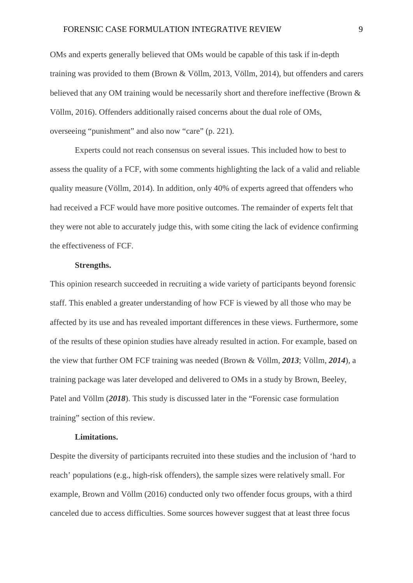OMs and experts generally believed that OMs would be capable of this task if in-depth training was provided to them (Brown & Völlm, 2013, Völlm, 2014), but offenders and carers believed that any OM training would be necessarily short and therefore ineffective (Brown & Völlm, 2016). Offenders additionally raised concerns about the dual role of OMs, overseeing "punishment" and also now "care" (p. 221).

Experts could not reach consensus on several issues. This included how to best to assess the quality of a FCF, with some comments highlighting the lack of a valid and reliable quality measure (Völlm, 2014). In addition, only 40% of experts agreed that offenders who had received a FCF would have more positive outcomes. The remainder of experts felt that they were not able to accurately judge this, with some citing the lack of evidence confirming the effectiveness of FCF.

## **Strengths.**

This opinion research succeeded in recruiting a wide variety of participants beyond forensic staff. This enabled a greater understanding of how FCF is viewed by all those who may be affected by its use and has revealed important differences in these views. Furthermore, some of the results of these opinion studies have already resulted in action. For example, based on the view that further OM FCF training was needed (Brown & Völlm, *2013*; Völlm, *2014*), a training package was later developed and delivered to OMs in a study by Brown, Beeley, Patel and Völlm (*2018*). This study is discussed later in the "Forensic case formulation training" section of this review.

## **Limitations.**

Despite the diversity of participants recruited into these studies and the inclusion of 'hard to reach' populations (e.g., high-risk offenders), the sample sizes were relatively small. For example, Brown and Völlm (2016) conducted only two offender focus groups, with a third canceled due to access difficulties. Some sources however suggest that at least three focus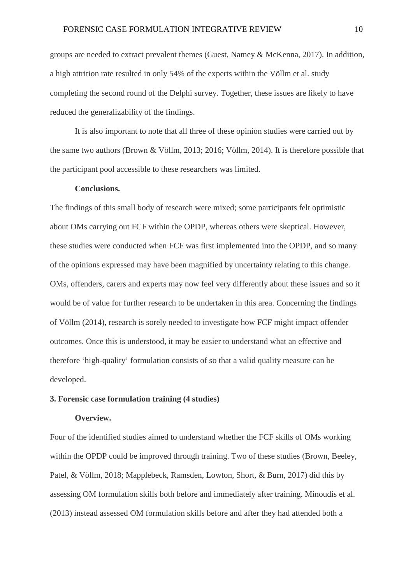groups are needed to extract prevalent themes (Guest, Namey & McKenna, 2017). In addition, a high attrition rate resulted in only 54% of the experts within the Völlm et al. study completing the second round of the Delphi survey. Together, these issues are likely to have reduced the generalizability of the findings.

It is also important to note that all three of these opinion studies were carried out by the same two authors (Brown & Völlm, 2013; 2016; Völlm, 2014). It is therefore possible that the participant pool accessible to these researchers was limited.

## **Conclusions.**

The findings of this small body of research were mixed; some participants felt optimistic about OMs carrying out FCF within the OPDP, whereas others were skeptical. However, these studies were conducted when FCF was first implemented into the OPDP, and so many of the opinions expressed may have been magnified by uncertainty relating to this change. OMs, offenders, carers and experts may now feel very differently about these issues and so it would be of value for further research to be undertaken in this area. Concerning the findings of Völlm (2014), research is sorely needed to investigate how FCF might impact offender outcomes. Once this is understood, it may be easier to understand what an effective and therefore 'high-quality' formulation consists of so that a valid quality measure can be developed.

## **3. Forensic case formulation training (4 studies)**

#### **Overview.**

Four of the identified studies aimed to understand whether the FCF skills of OMs working within the OPDP could be improved through training. Two of these studies (Brown, Beeley, Patel, & Völlm, 2018; Mapplebeck, Ramsden, Lowton, Short, & Burn, 2017) did this by assessing OM formulation skills both before and immediately after training. Minoudis et al. (2013) instead assessed OM formulation skills before and after they had attended both a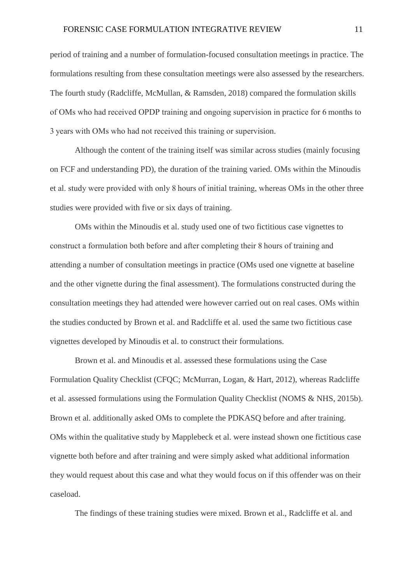period of training and a number of formulation-focused consultation meetings in practice. The formulations resulting from these consultation meetings were also assessed by the researchers. The fourth study (Radcliffe, McMullan, & Ramsden, 2018) compared the formulation skills of OMs who had received OPDP training and ongoing supervision in practice for 6 months to 3 years with OMs who had not received this training or supervision.

Although the content of the training itself was similar across studies (mainly focusing on FCF and understanding PD), the duration of the training varied. OMs within the Minoudis et al. study were provided with only 8 hours of initial training, whereas OMs in the other three studies were provided with five or six days of training.

OMs within the Minoudis et al. study used one of two fictitious case vignettes to construct a formulation both before and after completing their 8 hours of training and attending a number of consultation meetings in practice (OMs used one vignette at baseline and the other vignette during the final assessment). The formulations constructed during the consultation meetings they had attended were however carried out on real cases. OMs within the studies conducted by Brown et al. and Radcliffe et al. used the same two fictitious case vignettes developed by Minoudis et al. to construct their formulations.

Brown et al. and Minoudis et al. assessed these formulations using the Case Formulation Quality Checklist (CFQC; McMurran, Logan, & Hart, 2012), whereas Radcliffe et al. assessed formulations using the Formulation Quality Checklist (NOMS & NHS, 2015b). Brown et al. additionally asked OMs to complete the PDKASQ before and after training. OMs within the qualitative study by Mapplebeck et al. were instead shown one fictitious case vignette both before and after training and were simply asked what additional information they would request about this case and what they would focus on if this offender was on their caseload.

The findings of these training studies were mixed. Brown et al., Radcliffe et al. and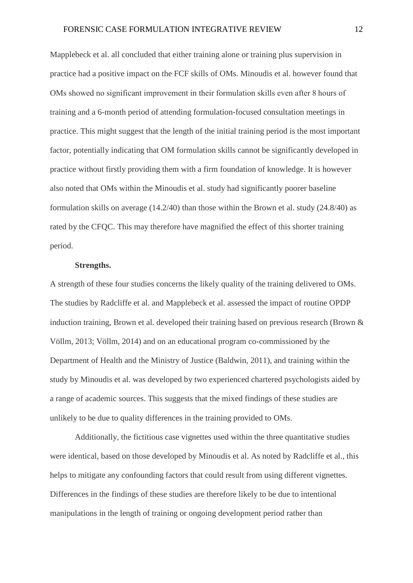Mapplebeck et al. all concluded that either training alone or training plus supervision in practice had a positive impact on the FCF skills of OMs. Minoudis et al. however found that OMs showed no significant improvement in their formulation skills even after 8 hours of training and a 6-month period of attending formulation-focused consultation meetings in practice. This might suggest that the length of the initial training period is the most important factor, potentially indicating that OM formulation skills cannot be significantly developed in practice without firstly providing them with a firm foundation of knowledge. It is however also noted that OMs within the Minoudis et al. study had significantly poorer baseline formulation skills on average (14.2/40) than those within the Brown et al. study (24.8/40) as rated by the CFQC. This may therefore have magnified the effect of this shorter training period.

#### **Strengths.**

A strength of these four studies concerns the likely quality of the training delivered to OMs. The studies by Radcliffe et al. and Mapplebeck et al. assessed the impact of routine OPDP induction training, Brown et al. developed their training based on previous research (Brown & Völlm, 2013; Völlm, 2014) and on an educational program co-commissioned by the Department of Health and the Ministry of Justice (Baldwin, 2011), and training within the study by Minoudis et al. was developed by two experienced chartered psychologists aided by a range of academic sources. This suggests that the mixed findings of these studies are unlikely to be due to quality differences in the training provided to OMs.

Additionally, the fictitious case vignettes used within the three quantitative studies were identical, based on those developed by Minoudis et al. As noted by Radcliffe et al., this helps to mitigate any confounding factors that could result from using different vignettes. Differences in the findings of these studies are therefore likely to be due to intentional manipulations in the length of training or ongoing development period rather than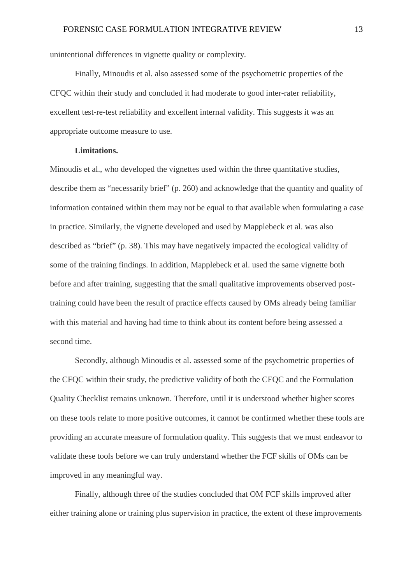unintentional differences in vignette quality or complexity.

Finally, Minoudis et al. also assessed some of the psychometric properties of the CFQC within their study and concluded it had moderate to good inter-rater reliability, excellent test-re-test reliability and excellent internal validity. This suggests it was an appropriate outcome measure to use.

## **Limitations.**

Minoudis et al., who developed the vignettes used within the three quantitative studies, describe them as "necessarily brief" (p. 260) and acknowledge that the quantity and quality of information contained within them may not be equal to that available when formulating a case in practice. Similarly, the vignette developed and used by Mapplebeck et al. was also described as "brief" (p. 38). This may have negatively impacted the ecological validity of some of the training findings. In addition, Mapplebeck et al. used the same vignette both before and after training, suggesting that the small qualitative improvements observed posttraining could have been the result of practice effects caused by OMs already being familiar with this material and having had time to think about its content before being assessed a second time.

Secondly, although Minoudis et al. assessed some of the psychometric properties of the CFQC within their study, the predictive validity of both the CFQC and the Formulation Quality Checklist remains unknown. Therefore, until it is understood whether higher scores on these tools relate to more positive outcomes, it cannot be confirmed whether these tools are providing an accurate measure of formulation quality. This suggests that we must endeavor to validate these tools before we can truly understand whether the FCF skills of OMs can be improved in any meaningful way.

Finally, although three of the studies concluded that OM FCF skills improved after either training alone or training plus supervision in practice, the extent of these improvements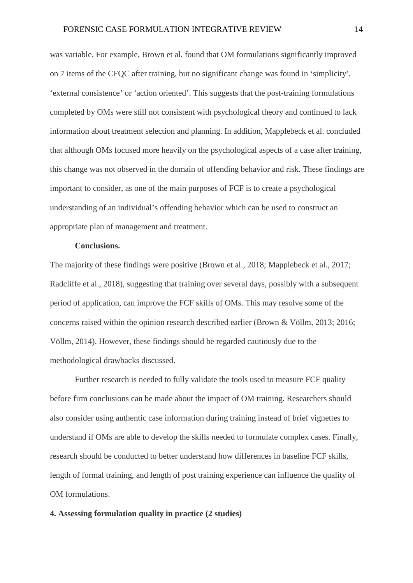was variable. For example, Brown et al. found that OM formulations significantly improved on 7 items of the CFQC after training, but no significant change was found in 'simplicity', 'external consistence' or 'action oriented'. This suggests that the post-training formulations completed by OMs were still not consistent with psychological theory and continued to lack information about treatment selection and planning. In addition, Mapplebeck et al. concluded that although OMs focused more heavily on the psychological aspects of a case after training, this change was not observed in the domain of offending behavior and risk. These findings are important to consider, as one of the main purposes of FCF is to create a psychological understanding of an individual's offending behavior which can be used to construct an appropriate plan of management and treatment.

## **Conclusions.**

The majority of these findings were positive (Brown et al., 2018; Mapplebeck et al., 2017; Radcliffe et al., 2018), suggesting that training over several days, possibly with a subsequent period of application, can improve the FCF skills of OMs. This may resolve some of the concerns raised within the opinion research described earlier (Brown & Völlm, 2013; 2016; Völlm, 2014). However, these findings should be regarded cautiously due to the methodological drawbacks discussed.

Further research is needed to fully validate the tools used to measure FCF quality before firm conclusions can be made about the impact of OM training. Researchers should also consider using authentic case information during training instead of brief vignettes to understand if OMs are able to develop the skills needed to formulate complex cases. Finally, research should be conducted to better understand how differences in baseline FCF skills, length of formal training, and length of post training experience can influence the quality of OM formulations.

## **4. Assessing formulation quality in practice (2 studies)**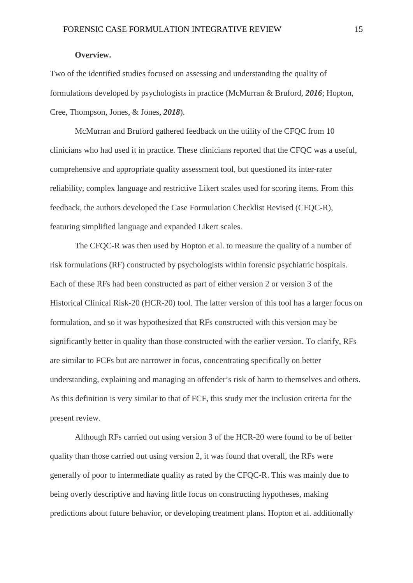## **Overview.**

Two of the identified studies focused on assessing and understanding the quality of formulations developed by psychologists in practice (McMurran & Bruford, *2016*; Hopton, Cree, Thompson, Jones, & Jones, *2018*).

McMurran and Bruford gathered feedback on the utility of the CFQC from 10 clinicians who had used it in practice. These clinicians reported that the CFQC was a useful, comprehensive and appropriate quality assessment tool, but questioned its inter-rater reliability, complex language and restrictive Likert scales used for scoring items. From this feedback, the authors developed the Case Formulation Checklist Revised (CFQC-R), featuring simplified language and expanded Likert scales.

The CFQC-R was then used by Hopton et al. to measure the quality of a number of risk formulations (RF) constructed by psychologists within forensic psychiatric hospitals. Each of these RFs had been constructed as part of either version 2 or version 3 of the Historical Clinical Risk-20 (HCR-20) tool. The latter version of this tool has a larger focus on formulation, and so it was hypothesized that RFs constructed with this version may be significantly better in quality than those constructed with the earlier version. To clarify, RFs are similar to FCFs but are narrower in focus, concentrating specifically on better understanding, explaining and managing an offender's risk of harm to themselves and others. As this definition is very similar to that of FCF, this study met the inclusion criteria for the present review.

Although RFs carried out using version 3 of the HCR-20 were found to be of better quality than those carried out using version 2, it was found that overall, the RFs were generally of poor to intermediate quality as rated by the CFQC-R. This was mainly due to being overly descriptive and having little focus on constructing hypotheses, making predictions about future behavior, or developing treatment plans. Hopton et al. additionally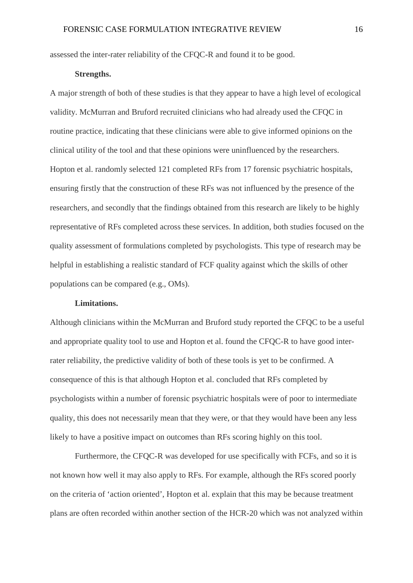assessed the inter-rater reliability of the CFQC-R and found it to be good.

#### **Strengths.**

A major strength of both of these studies is that they appear to have a high level of ecological validity. McMurran and Bruford recruited clinicians who had already used the CFQC in routine practice, indicating that these clinicians were able to give informed opinions on the clinical utility of the tool and that these opinions were uninfluenced by the researchers. Hopton et al. randomly selected 121 completed RFs from 17 forensic psychiatric hospitals, ensuring firstly that the construction of these RFs was not influenced by the presence of the researchers, and secondly that the findings obtained from this research are likely to be highly representative of RFs completed across these services. In addition, both studies focused on the quality assessment of formulations completed by psychologists. This type of research may be helpful in establishing a realistic standard of FCF quality against which the skills of other populations can be compared (e.g., OMs).

### **Limitations.**

Although clinicians within the McMurran and Bruford study reported the CFQC to be a useful and appropriate quality tool to use and Hopton et al. found the CFQC-R to have good interrater reliability, the predictive validity of both of these tools is yet to be confirmed. A consequence of this is that although Hopton et al. concluded that RFs completed by psychologists within a number of forensic psychiatric hospitals were of poor to intermediate quality, this does not necessarily mean that they were, or that they would have been any less likely to have a positive impact on outcomes than RFs scoring highly on this tool.

Furthermore, the CFQC-R was developed for use specifically with FCFs, and so it is not known how well it may also apply to RFs. For example, although the RFs scored poorly on the criteria of 'action oriented', Hopton et al. explain that this may be because treatment plans are often recorded within another section of the HCR-20 which was not analyzed within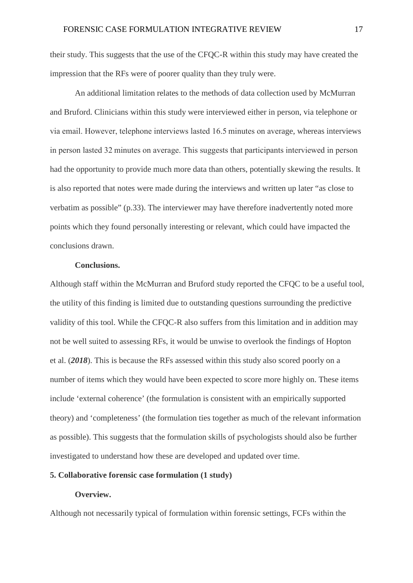their study. This suggests that the use of the CFQC-R within this study may have created the impression that the RFs were of poorer quality than they truly were.

An additional limitation relates to the methods of data collection used by McMurran and Bruford. Clinicians within this study were interviewed either in person, via telephone or via email. However, telephone interviews lasted 16.5 minutes on average, whereas interviews in person lasted 32 minutes on average. This suggests that participants interviewed in person had the opportunity to provide much more data than others, potentially skewing the results. It is also reported that notes were made during the interviews and written up later "as close to verbatim as possible" (p.33). The interviewer may have therefore inadvertently noted more points which they found personally interesting or relevant, which could have impacted the conclusions drawn.

## **Conclusions.**

Although staff within the McMurran and Bruford study reported the CFQC to be a useful tool, the utility of this finding is limited due to outstanding questions surrounding the predictive validity of this tool. While the CFQC-R also suffers from this limitation and in addition may not be well suited to assessing RFs, it would be unwise to overlook the findings of Hopton et al. (*2018*). This is because the RFs assessed within this study also scored poorly on a number of items which they would have been expected to score more highly on. These items include 'external coherence' (the formulation is consistent with an empirically supported theory) and 'completeness' (the formulation ties together as much of the relevant information as possible). This suggests that the formulation skills of psychologists should also be further investigated to understand how these are developed and updated over time.

## **5. Collaborative forensic case formulation (1 study)**

#### **Overview.**

Although not necessarily typical of formulation within forensic settings, FCFs within the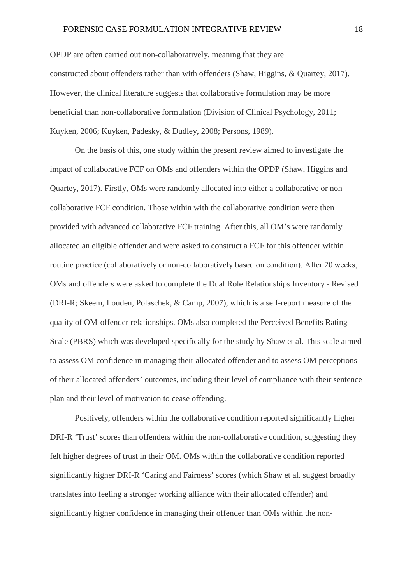#### FORENSIC CASE FORMULATION INTEGRATIVE REVIEW 18

OPDP are often carried out non-collaboratively, meaning that they are constructed about offenders rather than with offenders (Shaw, Higgins, & Quartey, 2017). However, the clinical literature suggests that collaborative formulation may be more beneficial than non-collaborative formulation (Division of Clinical Psychology, 2011; Kuyken, 2006; Kuyken, Padesky, & Dudley, 2008; Persons, 1989).

On the basis of this, one study within the present review aimed to investigate the impact of collaborative FCF on OMs and offenders within the OPDP (Shaw, Higgins and Quartey, 2017). Firstly, OMs were randomly allocated into either a collaborative or noncollaborative FCF condition. Those within with the collaborative condition were then provided with advanced collaborative FCF training. After this, all OM's were randomly allocated an eligible offender and were asked to construct a FCF for this offender within routine practice (collaboratively or non-collaboratively based on condition). After 20 weeks, OMs and offenders were asked to complete the Dual Role Relationships Inventory - Revised (DRI-R; Skeem, Louden, Polaschek, & Camp, 2007), which is a self-report measure of the quality of OM-offender relationships. OMs also completed the Perceived Benefits Rating Scale (PBRS) which was developed specifically for the study by Shaw et al. This scale aimed to assess OM confidence in managing their allocated offender and to assess OM perceptions of their allocated offenders' outcomes, including their level of compliance with their sentence plan and their level of motivation to cease offending.

Positively, offenders within the collaborative condition reported significantly higher DRI-R 'Trust' scores than offenders within the non-collaborative condition, suggesting they felt higher degrees of trust in their OM. OMs within the collaborative condition reported significantly higher DRI-R 'Caring and Fairness' scores (which Shaw et al. suggest broadly translates into feeling a stronger working alliance with their allocated offender) and significantly higher confidence in managing their offender than OMs within the non-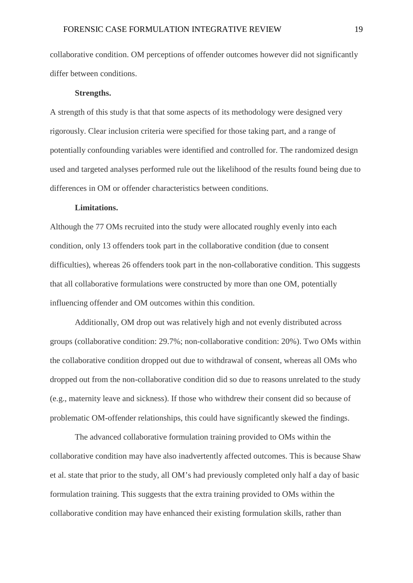collaborative condition. OM perceptions of offender outcomes however did not significantly differ between conditions.

#### **Strengths.**

A strength of this study is that that some aspects of its methodology were designed very rigorously. Clear inclusion criteria were specified for those taking part, and a range of potentially confounding variables were identified and controlled for. The randomized design used and targeted analyses performed rule out the likelihood of the results found being due to differences in OM or offender characteristics between conditions.

#### **Limitations.**

Although the 77 OMs recruited into the study were allocated roughly evenly into each condition, only 13 offenders took part in the collaborative condition (due to consent difficulties), whereas 26 offenders took part in the non-collaborative condition. This suggests that all collaborative formulations were constructed by more than one OM, potentially influencing offender and OM outcomes within this condition.

Additionally, OM drop out was relatively high and not evenly distributed across groups (collaborative condition: 29.7%; non-collaborative condition: 20%). Two OMs within the collaborative condition dropped out due to withdrawal of consent, whereas all OMs who dropped out from the non-collaborative condition did so due to reasons unrelated to the study (e.g., maternity leave and sickness). If those who withdrew their consent did so because of problematic OM-offender relationships, this could have significantly skewed the findings.

The advanced collaborative formulation training provided to OMs within the collaborative condition may have also inadvertently affected outcomes. This is because Shaw et al. state that prior to the study, all OM's had previously completed only half a day of basic formulation training. This suggests that the extra training provided to OMs within the collaborative condition may have enhanced their existing formulation skills, rather than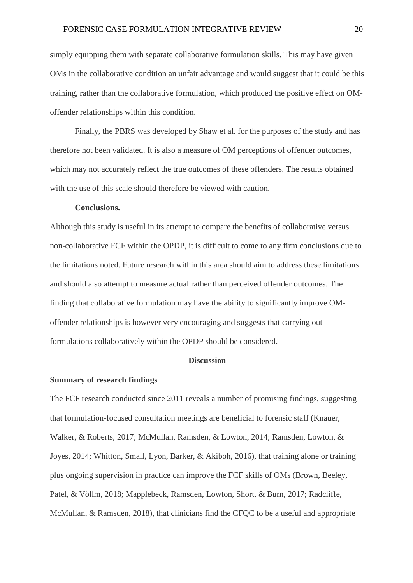simply equipping them with separate collaborative formulation skills. This may have given OMs in the collaborative condition an unfair advantage and would suggest that it could be this training, rather than the collaborative formulation, which produced the positive effect on OMoffender relationships within this condition.

Finally, the PBRS was developed by Shaw et al. for the purposes of the study and has therefore not been validated. It is also a measure of OM perceptions of offender outcomes, which may not accurately reflect the true outcomes of these offenders. The results obtained with the use of this scale should therefore be viewed with caution.

#### **Conclusions.**

Although this study is useful in its attempt to compare the benefits of collaborative versus non-collaborative FCF within the OPDP, it is difficult to come to any firm conclusions due to the limitations noted. Future research within this area should aim to address these limitations and should also attempt to measure actual rather than perceived offender outcomes. The finding that collaborative formulation may have the ability to significantly improve OMoffender relationships is however very encouraging and suggests that carrying out formulations collaboratively within the OPDP should be considered.

## **Discussion**

#### **Summary of research findings**

The FCF research conducted since 2011 reveals a number of promising findings, suggesting that formulation-focused consultation meetings are beneficial to forensic staff (Knauer, Walker, & Roberts, 2017; McMullan, Ramsden, & Lowton, 2014; Ramsden, Lowton, & Joyes, 2014; Whitton, Small, Lyon, Barker, & Akiboh, 2016), that training alone or training plus ongoing supervision in practice can improve the FCF skills of OMs (Brown, Beeley, Patel, & Völlm, 2018; Mapplebeck, Ramsden, Lowton, Short, & Burn, 2017; Radcliffe, McMullan, & Ramsden, 2018), that clinicians find the CFQC to be a useful and appropriate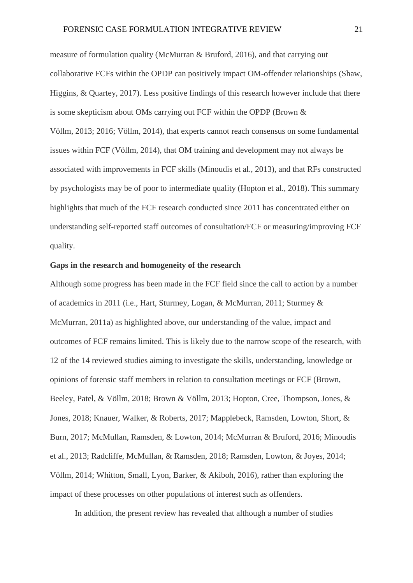measure of formulation quality (McMurran & Bruford, 2016), and that carrying out collaborative FCFs within the OPDP can positively impact OM-offender relationships (Shaw, Higgins, & Quartey, 2017). Less positive findings of this research however include that there is some skepticism about OMs carrying out FCF within the OPDP (Brown & Völlm, 2013; 2016; Völlm, 2014), that experts cannot reach consensus on some fundamental issues within FCF (Völlm, 2014), that OM training and development may not always be associated with improvements in FCF skills (Minoudis et al., 2013), and that RFs constructed by psychologists may be of poor to intermediate quality (Hopton et al., 2018). This summary highlights that much of the FCF research conducted since 2011 has concentrated either on understanding self-reported staff outcomes of consultation/FCF or measuring/improving FCF quality.

## **Gaps in the research and homogeneity of the research**

Although some progress has been made in the FCF field since the call to action by a number of academics in 2011 (i.e., Hart, Sturmey, Logan, & McMurran, 2011; Sturmey & McMurran, 2011a) as highlighted above, our understanding of the value, impact and outcomes of FCF remains limited. This is likely due to the narrow scope of the research, with 12 of the 14 reviewed studies aiming to investigate the skills, understanding, knowledge or opinions of forensic staff members in relation to consultation meetings or FCF (Brown, Beeley, Patel, & Völlm, 2018; Brown & Völlm, 2013; Hopton, Cree, Thompson, Jones, & Jones, 2018; Knauer, Walker, & Roberts, 2017; Mapplebeck, Ramsden, Lowton, Short, & Burn, 2017; McMullan, Ramsden, & Lowton, 2014; McMurran & Bruford, 2016; Minoudis et al., 2013; Radcliffe, McMullan, & Ramsden, 2018; Ramsden, Lowton, & Joyes, 2014; Völlm, 2014; Whitton, Small, Lyon, Barker, & Akiboh, 2016), rather than exploring the impact of these processes on other populations of interest such as offenders.

In addition, the present review has revealed that although a number of studies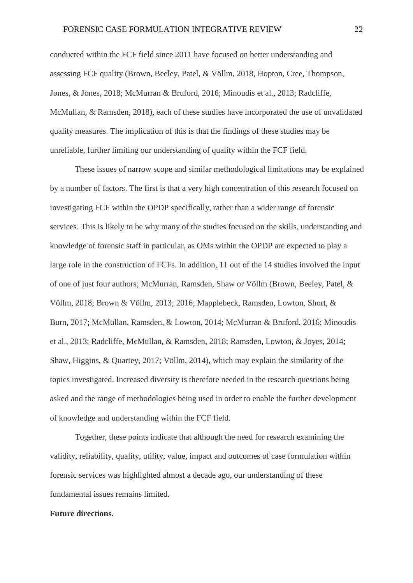conducted within the FCF field since 2011 have focused on better understanding and assessing FCF quality (Brown, Beeley, Patel, & Völlm, 2018, Hopton, Cree, Thompson, Jones, & Jones, 2018; McMurran & Bruford, 2016; Minoudis et al., 2013; Radcliffe, McMullan, & Ramsden, 2018), each of these studies have incorporated the use of unvalidated quality measures. The implication of this is that the findings of these studies may be unreliable, further limiting our understanding of quality within the FCF field.

These issues of narrow scope and similar methodological limitations may be explained by a number of factors. The first is that a very high concentration of this research focused on investigating FCF within the OPDP specifically, rather than a wider range of forensic services. This is likely to be why many of the studies focused on the skills, understanding and knowledge of forensic staff in particular, as OMs within the OPDP are expected to play a large role in the construction of FCFs. In addition, 11 out of the 14 studies involved the input of one of just four authors; McMurran, Ramsden, Shaw or Völlm (Brown, Beeley, Patel, & Völlm, 2018; Brown & Völlm, 2013; 2016; Mapplebeck, Ramsden, Lowton, Short, & Burn, 2017; McMullan, Ramsden, & Lowton, 2014; McMurran & Bruford, 2016; Minoudis et al., 2013; Radcliffe, McMullan, & Ramsden, 2018; Ramsden, Lowton, & Joyes, 2014; Shaw, Higgins, & Quartey, 2017; Völlm, 2014), which may explain the similarity of the topics investigated. Increased diversity is therefore needed in the research questions being asked and the range of methodologies being used in order to enable the further development of knowledge and understanding within the FCF field.

Together, these points indicate that although the need for research examining the validity, reliability, quality, utility, value, impact and outcomes of case formulation within forensic services was highlighted almost a decade ago, our understanding of these fundamental issues remains limited.

## **Future directions.**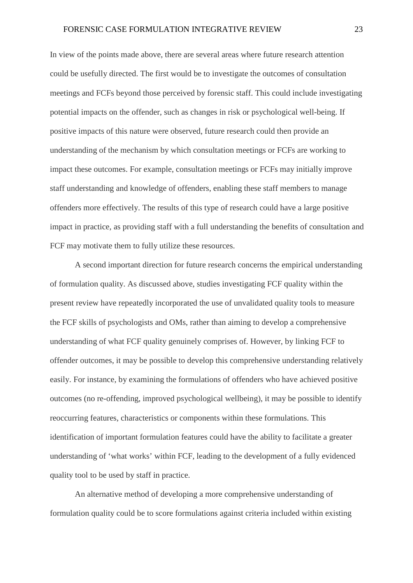In view of the points made above, there are several areas where future research attention could be usefully directed. The first would be to investigate the outcomes of consultation meetings and FCFs beyond those perceived by forensic staff. This could include investigating potential impacts on the offender, such as changes in risk or psychological well-being. If positive impacts of this nature were observed, future research could then provide an understanding of the mechanism by which consultation meetings or FCFs are working to impact these outcomes. For example, consultation meetings or FCFs may initially improve staff understanding and knowledge of offenders, enabling these staff members to manage offenders more effectively. The results of this type of research could have a large positive impact in practice, as providing staff with a full understanding the benefits of consultation and FCF may motivate them to fully utilize these resources.

A second important direction for future research concerns the empirical understanding of formulation quality. As discussed above, studies investigating FCF quality within the present review have repeatedly incorporated the use of unvalidated quality tools to measure the FCF skills of psychologists and OMs, rather than aiming to develop a comprehensive understanding of what FCF quality genuinely comprises of. However, by linking FCF to offender outcomes, it may be possible to develop this comprehensive understanding relatively easily. For instance, by examining the formulations of offenders who have achieved positive outcomes (no re-offending, improved psychological wellbeing), it may be possible to identify reoccurring features, characteristics or components within these formulations. This identification of important formulation features could have the ability to facilitate a greater understanding of 'what works' within FCF, leading to the development of a fully evidenced quality tool to be used by staff in practice.

An alternative method of developing a more comprehensive understanding of formulation quality could be to score formulations against criteria included within existing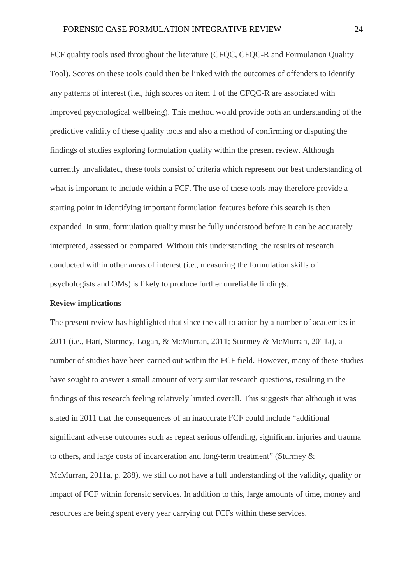FCF quality tools used throughout the literature (CFQC, CFQC-R and Formulation Quality Tool). Scores on these tools could then be linked with the outcomes of offenders to identify any patterns of interest (i.e., high scores on item 1 of the CFQC-R are associated with improved psychological wellbeing). This method would provide both an understanding of the predictive validity of these quality tools and also a method of confirming or disputing the findings of studies exploring formulation quality within the present review. Although currently unvalidated, these tools consist of criteria which represent our best understanding of what is important to include within a FCF. The use of these tools may therefore provide a starting point in identifying important formulation features before this search is then expanded. In sum, formulation quality must be fully understood before it can be accurately interpreted, assessed or compared. Without this understanding, the results of research conducted within other areas of interest (i.e., measuring the formulation skills of psychologists and OMs) is likely to produce further unreliable findings.

### **Review implications**

The present review has highlighted that since the call to action by a number of academics in 2011 (i.e., Hart, Sturmey, Logan, & McMurran, 2011; Sturmey & McMurran, 2011a), a number of studies have been carried out within the FCF field. However, many of these studies have sought to answer a small amount of very similar research questions, resulting in the findings of this research feeling relatively limited overall. This suggests that although it was stated in 2011 that the consequences of an inaccurate FCF could include "additional significant adverse outcomes such as repeat serious offending, significant injuries and trauma to others, and large costs of incarceration and long-term treatment" (Sturmey & McMurran, 2011a, p. 288), we still do not have a full understanding of the validity, quality or impact of FCF within forensic services. In addition to this, large amounts of time, money and resources are being spent every year carrying out FCFs within these services.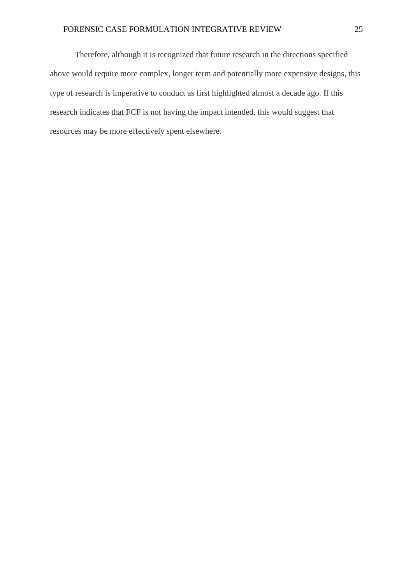Therefore, although it is recognized that future research in the directions specified above would require more complex, longer term and potentially more expensive designs, this type of research is imperative to conduct as first highlighted almost a decade ago. If this research indicates that FCF is not having the impact intended, this would suggest that resources may be more effectively spent elsewhere.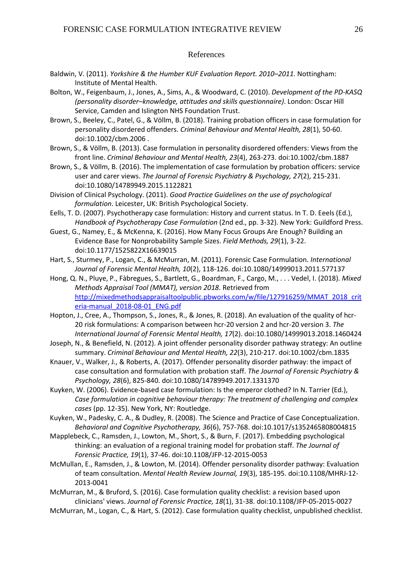#### References

- Baldwin, V. (2011). *Yorkshire & the Humber KUF Evaluation Report. 2010–2011.* Nottingham: Institute of Mental Health.
- Bolton, W., Feigenbaum, J., Jones, A., Sims, A., & Woodward, C. (2010). *Development of the PD-KASQ (personality disorder–knowledge, attitudes and skills questionnaire)*. London: Oscar Hill Service, Camden and Islington NHS Foundation Trust.
- Brown, S., Beeley, C., Patel, G., & Völlm, B. (2018). Training probation officers in case formulation for personality disordered offenders. *Criminal Behaviour and Mental Health, 28*(1), 50-60. doi:10.1002/cbm.2006 .
- Brown, S., & Völlm, B. (2013). Case formulation in personality disordered offenders: Views from the front line. *Criminal Behaviour and Mental Health, 23*(4), 263-273. doi:10.1002/cbm.1887
- Brown, S., & Völlm, B. (2016). The implementation of case formulation by probation officers: service user and carer views. *The Journal of Forensic Psychiatry & Psychology, 27*(2), 215-231. doi:10.1080/14789949.2015.1122821
- Division of Clinical Psychology. (2011). *Good Practice Guidelines on the use of psychological formulation*. Leicester, UK: British Psychological Society.
- Eells, T. D. (2007). Psychotherapy case formulation: History and current status. In T. D. Eeels (Ed.), *Handbook of Psychotherapy Case Formulation* (2nd ed., pp. 3-32). New York: Guildford Press.
- Guest, G., Namey, E., & McKenna, K. (2016). How Many Focus Groups Are Enough? Building an Evidence Base for Nonprobability Sample Sizes. *Field Methods, 29*(1), 3-22. doi:10.1177/1525822X16639015
- Hart, S., Sturmey, P., Logan, C., & McMurran, M. (2011). Forensic Case Formulation. *International Journal of Forensic Mental Health, 10*(2), 118-126. doi:10.1080/14999013.2011.577137
- Hong, Q. N., Pluye, P., Fàbregues, S., Bartlett, G., Boardman, F., Cargo, M., . . . Vedel, I. (2018). *Mixed Methods Appraisal Tool (MMAT), version 2018*. Retrieved from [http://mixedmethodsappraisaltoolpublic.pbworks.com/w/file/127916259/MMAT\\_2018\\_crit](http://mixedmethodsappraisaltoolpublic.pbworks.com/w/file/127916259/MMAT_2018_criteria-manual_2018-08-01_ENG.pdf) [eria-manual\\_2018-08-01\\_ENG.pdf](http://mixedmethodsappraisaltoolpublic.pbworks.com/w/file/127916259/MMAT_2018_criteria-manual_2018-08-01_ENG.pdf)
- Hopton, J., Cree, A., Thompson, S., Jones, R., & Jones, R. (2018). An evaluation of the quality of hcr-20 risk formulations: A comparison between hcr-20 version 2 and hcr-20 version 3. *The International Journal of Forensic Mental Health, 17*(2). doi:10.1080/14999013.2018.1460424
- Joseph, N., & Benefield, N. (2012). A joint offender personality disorder pathway strategy: An outline summary. *Criminal Behaviour and Mental Health, 22*(3), 210-217. doi:10.1002/cbm.1835
- Knauer, V., Walker, J., & Roberts, A. (2017). Offender personality disorder pathway: the impact of case consultation and formulation with probation staff. *The Journal of Forensic Psychiatry & Psychology, 28*(6), 825-840. doi:10.1080/14789949.2017.1331370
- Kuyken, W. (2006). Evidence-based case formulation: Is the emperor clothed? In N. Tarrier (Ed.), *Case formulation in cognitive behaviour therapy: The treatment of challenging and complex cases* (pp. 12-35). New York, NY: Routledge.
- Kuyken, W., Padesky, C. A., & Dudley, R. (2008). The Science and Practice of Case Conceptualization. *Behavioral and Cognitive Psychotherapy, 36*(6), 757-768. doi:10.1017/s1352465808004815
- Mapplebeck, C., Ramsden, J., Lowton, M., Short, S., & Burn, F. (2017). Embedding psychological thinking: an evaluation of a regional training model for probation staff. *The Journal of Forensic Practice, 19*(1), 37-46. doi:10.1108/JFP-12-2015-0053
- McMullan, E., Ramsden, J., & Lowton, M. (2014). Offender personality disorder pathway: Evaluation of team consultation. *Mental Health Review Journal, 19*(3), 185-195. doi:10.1108/MHRJ-12- 2013-0041

McMurran, M., & Bruford, S. (2016). Case formulation quality checklist: a revision based upon clinicians' views. *Journal of Forensic Practice, 18*(1), 31-38. doi:10.1108/JFP-05-2015-0027

McMurran, M., Logan, C., & Hart, S. (2012). Case formulation quality checklist, unpublished checklist.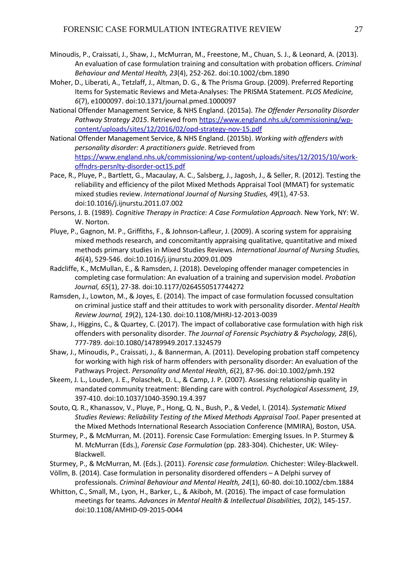- Minoudis, P., Craissati, J., Shaw, J., McMurran, M., Freestone, M., Chuan, S. J., & Leonard, A. (2013). An evaluation of case formulation training and consultation with probation officers. *Criminal Behaviour and Mental Health, 23*(4), 252-262. doi:10.1002/cbm.1890
- Moher, D., Liberati, A., Tetzlaff, J., Altman, D. G., & The Prisma Group. (2009). Preferred Reporting Items for Systematic Reviews and Meta-Analyses: The PRISMA Statement. *PLOS Medicine, 6*(7), e1000097. doi:10.1371/journal.pmed.1000097
- National Offender Management Service, & NHS England. (2015a). *The Offender Personality Disorder Pathway Strategy 2015*. Retrieved from [https://www.england.nhs.uk/commissioning/wp](https://www.england.nhs.uk/commissioning/wp-content/uploads/sites/12/2016/02/opd-strategy-nov-15.pdf)[content/uploads/sites/12/2016/02/opd-strategy-nov-15.pdf](https://www.england.nhs.uk/commissioning/wp-content/uploads/sites/12/2016/02/opd-strategy-nov-15.pdf)
- National Offender Management Service, & NHS England. (2015b). *Working with offenders with personality disorder: A practitioners guide*. Retrieved from [https://www.england.nhs.uk/commissioning/wp-content/uploads/sites/12/2015/10/work](https://www.england.nhs.uk/commissioning/wp-content/uploads/sites/12/2015/10/work-offndrs-persnlty-disorder-oct15.pdf)[offndrs-persnlty-disorder-oct15.pdf](https://www.england.nhs.uk/commissioning/wp-content/uploads/sites/12/2015/10/work-offndrs-persnlty-disorder-oct15.pdf)
- Pace, R., Pluye, P., Bartlett, G., Macaulay, A. C., Salsberg, J., Jagosh, J., & Seller, R. (2012). Testing the reliability and efficiency of the pilot Mixed Methods Appraisal Tool (MMAT) for systematic mixed studies review. *International Journal of Nursing Studies, 49*(1), 47-53. doi:10.1016/j.ijnurstu.2011.07.002
- Persons, J. B. (1989). *Cognitive Therapy in Practice: A Case Formulation Approach*. New York, NY: W. W. Norton.
- Pluye, P., Gagnon, M. P., Griffiths, F., & Johnson-Lafleur, J. (2009). A scoring system for appraising mixed methods research, and concomitantly appraising qualitative, quantitative and mixed methods primary studies in Mixed Studies Reviews. *International Journal of Nursing Studies, 46*(4), 529-546. doi:10.1016/j.ijnurstu.2009.01.009
- Radcliffe, K., McMullan, E., & Ramsden, J. (2018). Developing offender manager competencies in completing case formulation: An evaluation of a training and supervision model. *Probation Journal, 65*(1), 27-38. doi:10.1177/0264550517744272
- Ramsden, J., Lowton, M., & Joyes, E. (2014). The impact of case formulation focussed consultation on criminal justice staff and their attitudes to work with personality disorder. *Mental Health Review Journal, 19*(2), 124-130. doi:10.1108/MHRJ-12-2013-0039
- Shaw, J., Higgins, C., & Quartey, C. (2017). The impact of collaborative case formulation with high risk offenders with personality disorder. *The Journal of Forensic Psychiatry & Psychology, 28*(6), 777-789. doi:10.1080/14789949.2017.1324579
- Shaw, J., Minoudis, P., Craissati, J., & Bannerman, A. (2011). Developing probation staff competency for working with high risk of harm offenders with personality disorder: An evaluation of the Pathways Project. *Personality and Mental Health, 6*(2), 87-96. doi:10.1002/pmh.192
- Skeem, J. L., Louden, J. E., Polaschek, D. L., & Camp, J. P. (2007). Assessing relationship quality in mandated community treatment: Blending care with control. *Psychological Assessment, 19*, 397-410. doi:10.1037/1040-3590.19.4.397
- Souto, Q. R., Khanassov, V., Pluye, P., Hong, Q. N., Bush, P., & Vedel, I. (2014). *Systematic Mixed Studies Reviews: Reliability Testing of the Mixed Methods Appraisal Tool*. Paper presented at the Mixed Methods International Research Association Conference (MMIRA), Boston, USA.
- Sturmey, P., & McMurran, M. (2011). Forensic Case Formulation: Emerging Issues. In P. Sturmey & M. McMurran (Eds.), *Forensic Case Formulation* (pp. 283-304). Chichester, UK: Wiley-Blackwell.
- Sturmey, P., & McMurran, M. (Eds.). (2011). *Forensic case formulation.* Chichester: Wiley-Blackwell.
- Völlm, B. (2014). Case formulation in personality disordered offenders A Delphi survey of professionals. *Criminal Behaviour and Mental Health, 24*(1), 60-80. doi:10.1002/cbm.1884
- Whitton, C., Small, M., Lyon, H., Barker, L., & Akiboh, M. (2016). The impact of case formulation meetings for teams. *Advances in Mental Health & Intellectual Disabilities, 10*(2), 145-157. doi:10.1108/AMHID-09-2015-0044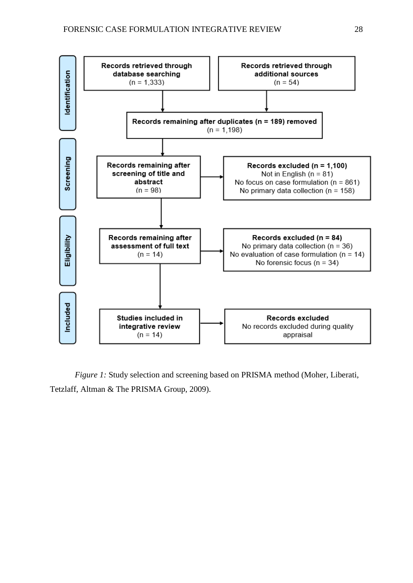

*Figure 1:* Study selection and screening based on PRISMA method (Moher, Liberati, Tetzlaff, Altman & The PRISMA Group, 2009).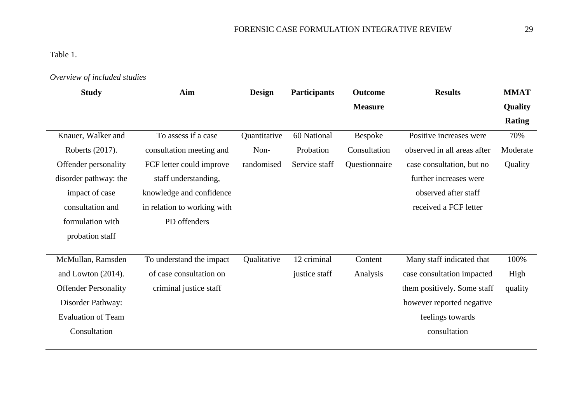Table 1.

*Overview of included studies* 

| <b>Study</b>                | Aim                         | <b>Design</b> | <b>Participants</b> | <b>Outcome</b> | <b>Results</b>              | <b>MMAT</b>   |
|-----------------------------|-----------------------------|---------------|---------------------|----------------|-----------------------------|---------------|
|                             |                             |               |                     | <b>Measure</b> |                             | Quality       |
|                             |                             |               |                     |                |                             | <b>Rating</b> |
| Knauer, Walker and          | To assess if a case         | Quantitative  | 60 National         | <b>Bespoke</b> | Positive increases were     | 70%           |
| Roberts (2017).             | consultation meeting and    | Non-          | Probation           | Consultation   | observed in all areas after | Moderate      |
| Offender personality        | FCF letter could improve    | randomised    | Service staff       | Questionnaire  | case consultation, but no   | Quality       |
| disorder pathway: the       | staff understanding,        |               |                     |                | further increases were      |               |
| impact of case              | knowledge and confidence    |               |                     |                | observed after staff        |               |
| consultation and            | in relation to working with |               |                     |                | received a FCF letter       |               |
| formulation with            | PD offenders                |               |                     |                |                             |               |
| probation staff             |                             |               |                     |                |                             |               |
|                             |                             |               |                     |                |                             |               |
| McMullan, Ramsden           | To understand the impact    | Qualitative   | 12 criminal         | Content        | Many staff indicated that   | 100%          |
| and Lowton (2014).          | of case consultation on     |               | justice staff       | Analysis       | case consultation impacted  | High          |
| <b>Offender Personality</b> | criminal justice staff      |               |                     |                | them positively. Some staff | quality       |
| Disorder Pathway:           |                             |               |                     |                | however reported negative   |               |
| <b>Evaluation of Team</b>   |                             |               |                     |                | feelings towards            |               |
| Consultation                |                             |               |                     |                | consultation                |               |
|                             |                             |               |                     |                |                             |               |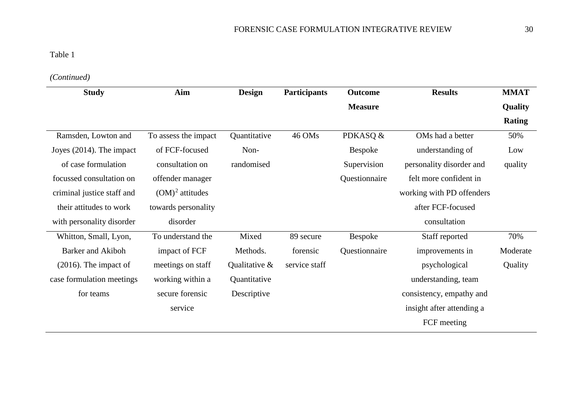| <b>Study</b>                | Aim                  | <b>Design</b> | <b>Participants</b> | <b>Outcome</b> | <b>Results</b>            | <b>MMAT</b>    |
|-----------------------------|----------------------|---------------|---------------------|----------------|---------------------------|----------------|
|                             |                      |               |                     | <b>Measure</b> |                           | <b>Quality</b> |
|                             |                      |               |                     |                |                           | <b>Rating</b>  |
| Ramsden, Lowton and         | To assess the impact | Quantitative  | 46 OMs              | PDKASQ &       | OMs had a better          | 50%            |
| Joyes $(2014)$ . The impact | of FCF-focused       | Non-          |                     | Bespoke        | understanding of          | Low            |
| of case formulation         | consultation on      | randomised    |                     | Supervision    | personality disorder and  | quality        |
| focussed consultation on    | offender manager     |               |                     | Questionnaire  | felt more confident in    |                |
| criminal justice staff and  | $(OM)^2$ attitudes   |               |                     |                | working with PD offenders |                |
| their attitudes to work     | towards personality  |               |                     |                | after FCF-focused         |                |
| with personality disorder   | disorder             |               |                     |                | consultation              |                |
| Whitton, Small, Lyon,       | To understand the    | Mixed         | 89 secure           | Bespoke        | Staff reported            | 70%            |
| Barker and Akiboh           | impact of FCF        | Methods.      | forensic            | Questionnaire  | improvements in           | Moderate       |
| $(2016)$ . The impact of    | meetings on staff    | Qualitative & | service staff       |                | psychological             | Quality        |
| case formulation meetings   | working within a     | Quantitative  |                     |                | understanding, team       |                |
| for teams                   | secure forensic      | Descriptive   |                     |                | consistency, empathy and  |                |
|                             | service              |               |                     |                | insight after attending a |                |
|                             |                      |               |                     |                | FCF meeting               |                |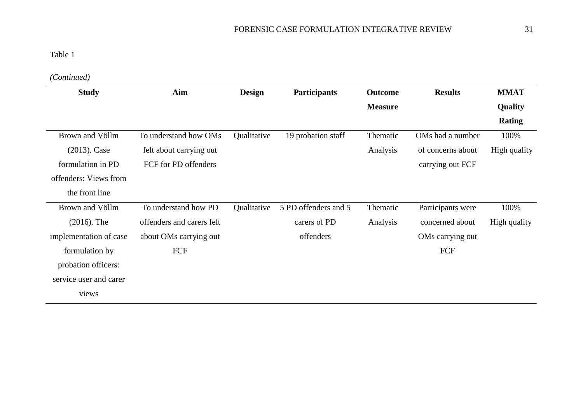| <b>Study</b>           | Aim                       | <b>Design</b> | <b>Participants</b>  | <b>Outcome</b> | <b>Results</b>    | <b>MMAT</b>    |
|------------------------|---------------------------|---------------|----------------------|----------------|-------------------|----------------|
|                        |                           |               |                      | <b>Measure</b> |                   | <b>Quality</b> |
|                        |                           |               |                      |                |                   | <b>Rating</b>  |
| Brown and Völlm        | To understand how OMs     | Qualitative   | 19 probation staff   | Thematic       | OMs had a number  | 100%           |
| $(2013)$ . Case        | felt about carrying out   |               |                      | Analysis       | of concerns about | High quality   |
| formulation in PD      | FCF for PD offenders      |               |                      |                | carrying out FCF  |                |
| offenders: Views from  |                           |               |                      |                |                   |                |
| the front line         |                           |               |                      |                |                   |                |
| Brown and Völlm        | To understand how PD      | Qualitative   | 5 PD offenders and 5 | Thematic       | Participants were | 100%           |
| $(2016)$ . The         | offenders and carers felt |               | carers of PD         | Analysis       | concerned about   | High quality   |
| implementation of case | about OMs carrying out    |               | offenders            |                | OMs carrying out  |                |
| formulation by         | FCF                       |               |                      |                | FCF               |                |
| probation officers:    |                           |               |                      |                |                   |                |
| service user and carer |                           |               |                      |                |                   |                |
| views                  |                           |               |                      |                |                   |                |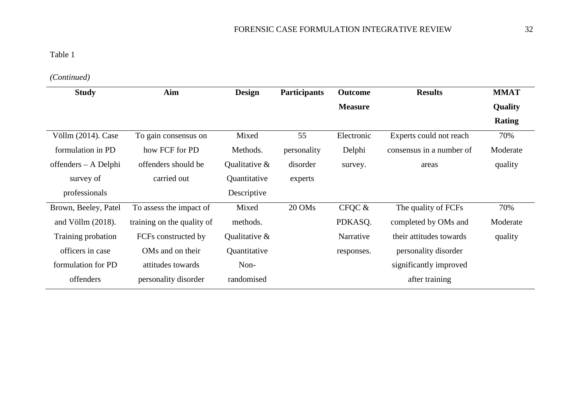| <b>Study</b>           | Aim                          | <b>Design</b> | <b>Participants</b> | <b>Outcome</b> | <b>Results</b>           | <b>MMAT</b>    |
|------------------------|------------------------------|---------------|---------------------|----------------|--------------------------|----------------|
|                        |                              |               |                     | <b>Measure</b> |                          | <b>Quality</b> |
|                        |                              |               |                     |                |                          | <b>Rating</b>  |
| Völlm (2014). Case     | To gain consensus on         | Mixed         | 55                  | Electronic     | Experts could not reach  | 70%            |
| formulation in PD      | how FCF for PD               | Methods.      | personality         | Delphi         | consensus in a number of | Moderate       |
| $offenders - A Delphi$ | offenders should be          | Qualitative & | disorder            | survey.        | areas                    | quality        |
| survey of              | carried out                  | Quantitative  | experts             |                |                          |                |
| professionals          |                              | Descriptive   |                     |                |                          |                |
| Brown, Beeley, Patel   | To assess the impact of      | Mixed         | 20 OMs              | CFQC $&$       | The quality of FCFs      | 70%            |
| and Völlm $(2018)$ .   | training on the quality of   | methods.      |                     | PDKASQ.        | completed by OMs and     | Moderate       |
| Training probation     | FCFs constructed by          | Qualitative & |                     | Narrative      | their attitudes towards  | quality        |
| officers in case       | OM <sub>s</sub> and on their | Quantitative  |                     | responses.     | personality disorder     |                |
| formulation for PD     | attitudes towards            | Non-          |                     |                | significantly improved   |                |
| offenders              | personality disorder         | randomised    |                     |                | after training           |                |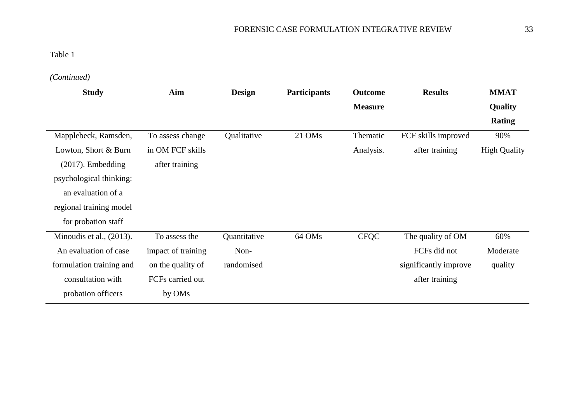| <b>Study</b>             | Aim                | <b>Design</b> | <b>Participants</b> | <b>Outcome</b> | <b>Results</b>        | <b>MMAT</b>         |
|--------------------------|--------------------|---------------|---------------------|----------------|-----------------------|---------------------|
|                          |                    |               |                     | <b>Measure</b> |                       | <b>Quality</b>      |
|                          |                    |               |                     |                |                       | Rating              |
| Mapplebeck, Ramsden,     | To assess change   | Qualitative   | 21 OMs              | Thematic       | FCF skills improved   | 90%                 |
| Lowton, Short & Burn     | in OM FCF skills   |               |                     | Analysis.      | after training        | <b>High Quality</b> |
| $(2017)$ . Embedding     | after training     |               |                     |                |                       |                     |
| psychological thinking:  |                    |               |                     |                |                       |                     |
| an evaluation of a       |                    |               |                     |                |                       |                     |
| regional training model  |                    |               |                     |                |                       |                     |
| for probation staff      |                    |               |                     |                |                       |                     |
| Minoudis et al., (2013). | To assess the      | Quantitative  | 64 OMs              | <b>CFQC</b>    | The quality of OM     | 60%                 |
| An evaluation of case    | impact of training | Non-          |                     |                | FCFs did not          | Moderate            |
| formulation training and | on the quality of  | randomised    |                     |                | significantly improve | quality             |
| consultation with        | FCFs carried out   |               |                     |                | after training        |                     |
| probation officers       | by OMs             |               |                     |                |                       |                     |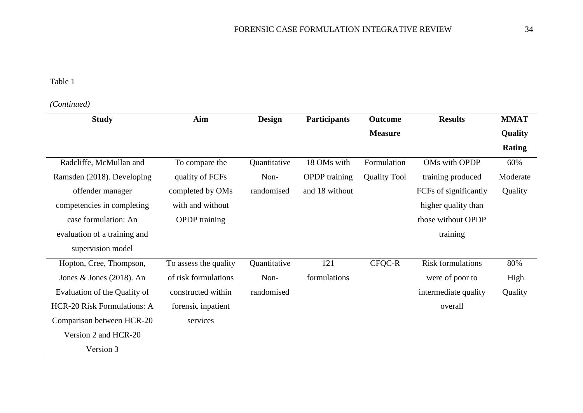| <b>Study</b>                 | Aim                   | <b>Design</b> | <b>Participants</b>  | <b>Outcome</b>      | <b>Results</b>        | <b>MMAT</b>   |
|------------------------------|-----------------------|---------------|----------------------|---------------------|-----------------------|---------------|
|                              |                       |               |                      | <b>Measure</b>      |                       | Quality       |
|                              |                       |               |                      |                     |                       | <b>Rating</b> |
| Radcliffe, McMullan and      | To compare the        | Quantitative  | 18 OMs with          | Formulation         | OMs with OPDP         | 60%           |
| Ramsden (2018). Developing   | quality of FCFs       | Non-          | <b>OPDP</b> training | <b>Quality Tool</b> | training produced     | Moderate      |
| offender manager             | completed by OMs      | randomised    | and 18 without       |                     | FCFs of significantly | Quality       |
| competencies in completing   | with and without      |               |                      |                     | higher quality than   |               |
| case formulation: An         | <b>OPDP</b> training  |               |                      |                     | those without OPDP    |               |
| evaluation of a training and |                       |               |                      |                     | training              |               |
| supervision model            |                       |               |                      |                     |                       |               |
| Hopton, Cree, Thompson,      | To assess the quality | Quantitative  | 121                  | CFQC-R              | Risk formulations     | 80%           |
| Jones & Jones $(2018)$ . An  | of risk formulations  | Non-          | formulations         |                     | were of poor to       | High          |
| Evaluation of the Quality of | constructed within    | randomised    |                      |                     | intermediate quality  | Quality       |
| HCR-20 Risk Formulations: A  | forensic inpatient    |               |                      |                     | overall               |               |
| Comparison between HCR-20    | services              |               |                      |                     |                       |               |
| Version 2 and HCR-20         |                       |               |                      |                     |                       |               |
| Version 3                    |                       |               |                      |                     |                       |               |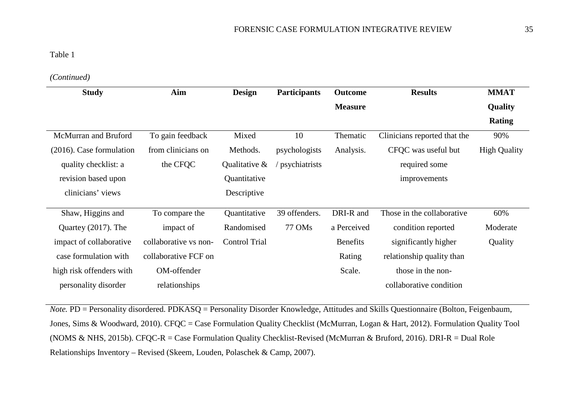<span id="page-35-0"></span>*(Continued)*

| <b>Study</b>                | Aim                   | <b>Design</b>        | <b>Participants</b> | <b>Outcome</b>  | <b>Results</b>               | <b>MMAT</b>         |
|-----------------------------|-----------------------|----------------------|---------------------|-----------------|------------------------------|---------------------|
|                             |                       |                      |                     | <b>Measure</b>  |                              | <b>Quality</b>      |
|                             |                       |                      |                     |                 |                              | <b>Rating</b>       |
| McMurran and Bruford        | To gain feedback      | Mixed                | 10                  | Thematic        | Clinicians reported that the | 90%                 |
| $(2016)$ . Case formulation | from clinicians on    | Methods.             | psychologists       | Analysis.       | CFQC was useful but          | <b>High Quality</b> |
| quality checklist: a        | the CFQC              | Qualitative $\&$     | psychiatrists       |                 | required some                |                     |
| revision based upon         |                       | Quantitative         |                     |                 | improvements                 |                     |
| clinicians' views           |                       | Descriptive          |                     |                 |                              |                     |
| Shaw, Higgins and           | To compare the        | Quantitative         | 39 offenders.       | DRI-R and       | Those in the collaborative   | 60%                 |
| Quartey (2017). The         | impact of             | Randomised           | 77 OM <sub>s</sub>  | a Perceived     | condition reported           | Moderate            |
| impact of collaborative     | collaborative vs non- | <b>Control Trial</b> |                     | <b>Benefits</b> | significantly higher         | Quality             |
| case formulation with       | collaborative FCF on  |                      |                     | Rating          | relationship quality than    |                     |
| high risk offenders with    | OM-offender           |                      |                     | Scale.          | those in the non-            |                     |
| personality disorder        | relationships         |                      |                     |                 | collaborative condition      |                     |

*Note.* PD = Personality disordered. PDKASQ = Personality Disorder Knowledge, Attitudes and Skills Questionnaire (Bolton, Feigenbaum, Jones, Sims & Woodward, 2010). CFQC = Case Formulation Quality Checklist (McMurran, Logan & Hart, 2012). Formulation Quality Tool (NOMS & NHS, 2015b). CFQC-R = Case Formulation Quality Checklist-Revised (McMurran & Bruford, 2016). DRI-R = Dual Role Relationships Inventory – Revised (Skeem, Louden, Polaschek & Camp, 2007).